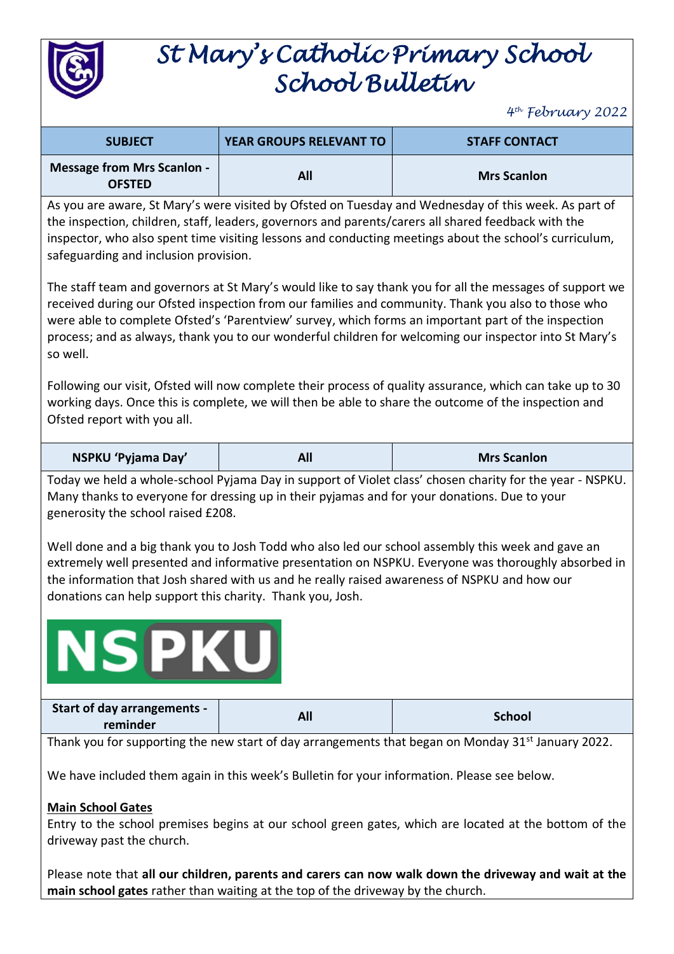

## *St Mary's Catholic Primary School School Bulletin*

*4 th February 2022*

| <b>SUBJECT</b>                                     | <b>YEAR GROUPS RELEVANT TO</b> | <b>STAFF CONTACT</b> |
|----------------------------------------------------|--------------------------------|----------------------|
| <b>Message from Mrs Scanlon -</b><br><b>OFSTED</b> | All                            | <b>Mrs Scanlon</b>   |

As you are aware, St Mary's were visited by Ofsted on Tuesday and Wednesday of this week. As part of the inspection, children, staff, leaders, governors and parents/carers all shared feedback with the inspector, who also spent time visiting lessons and conducting meetings about the school's curriculum, safeguarding and inclusion provision.

The staff team and governors at St Mary's would like to say thank you for all the messages of support we received during our Ofsted inspection from our families and community. Thank you also to those who were able to complete Ofsted's 'Parentview' survey, which forms an important part of the inspection process; and as always, thank you to our wonderful children for welcoming our inspector into St Mary's so well.

Following our visit, Ofsted will now complete their process of quality assurance, which can take up to 30 working days. Once this is complete, we will then be able to share the outcome of the inspection and Ofsted report with you all.

| NSPKU 'Pyjama Day' | All | <b>Mrs Scanlon</b> |
|--------------------|-----|--------------------|
|--------------------|-----|--------------------|

Today we held a whole-school Pyjama Day in support of Violet class' chosen charity for the year - NSPKU. Many thanks to everyone for dressing up in their pyjamas and for your donations. Due to your generosity the school raised £208.

Well done and a big thank you to Josh Todd who also led our school assembly this week and gave an extremely well presented and informative presentation on NSPKU. Everyone was thoroughly absorbed in the information that Josh shared with us and he really raised awareness of NSPKU and how our donations can help support this charity. Thank you, Josh.

# **NSPKU**

| <b>Start of day arrangements -</b><br>reminder | All | <b>School</b> |
|------------------------------------------------|-----|---------------|
|                                                |     |               |

Thank you for supporting the new start of day arrangements that began on Monday 31<sup>st</sup> January 2022.

We have included them again in this week's Bulletin for your information. Please see below.

#### **Main School Gates**

Entry to the school premises begins at our school green gates, which are located at the bottom of the driveway past the church.

Please note that **all our children, parents and carers can now walk down the driveway and wait at the main school gates** rather than waiting at the top of the driveway by the church.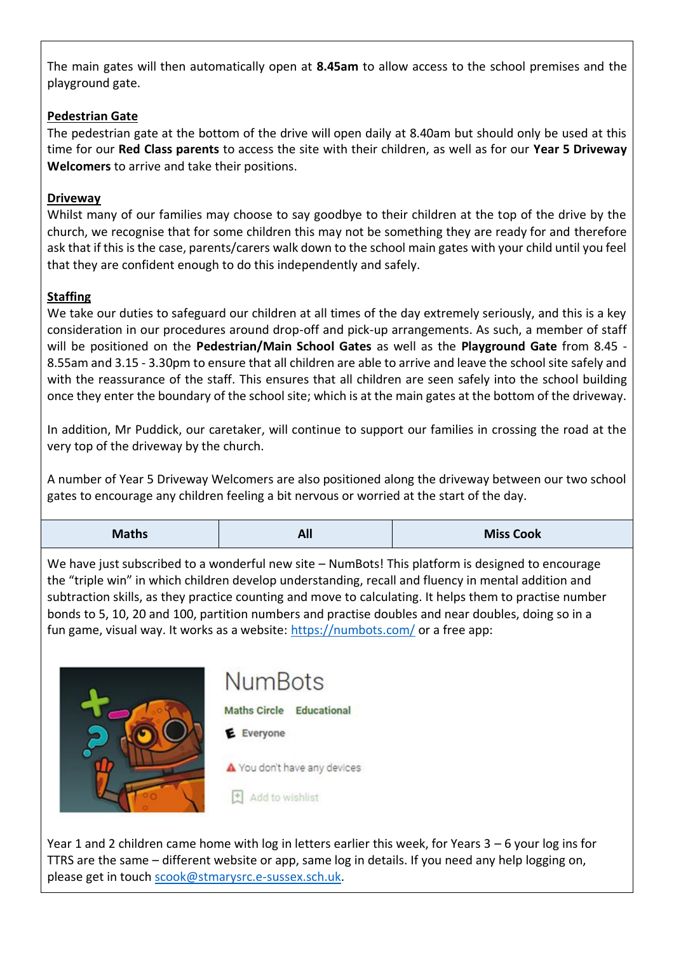The main gates will then automatically open at **8.45am** to allow access to the school premises and the playground gate.

#### **Pedestrian Gate**

The pedestrian gate at the bottom of the drive will open daily at 8.40am but should only be used at this time for our **Red Class parents** to access the site with their children, as well as for our **Year 5 Driveway Welcomers** to arrive and take their positions.

#### **Driveway**

Whilst many of our families may choose to say goodbye to their children at the top of the drive by the church, we recognise that for some children this may not be something they are ready for and therefore ask that if this is the case, parents/carers walk down to the school main gates with your child until you feel that they are confident enough to do this independently and safely.

#### **Staffing**

We take our duties to safeguard our children at all times of the day extremely seriously, and this is a key consideration in our procedures around drop-off and pick-up arrangements. As such, a member of staff will be positioned on the **Pedestrian/Main School Gates** as well as the **Playground Gate** from 8.45 - 8.55am and 3.15 - 3.30pm to ensure that all children are able to arrive and leave the school site safely and with the reassurance of the staff. This ensures that all children are seen safely into the school building once they enter the boundary of the school site; which is at the main gates at the bottom of the driveway.

In addition, Mr Puddick, our caretaker, will continue to support our families in crossing the road at the very top of the driveway by the church.

A number of Year 5 Driveway Welcomers are also positioned along the driveway between our two school gates to encourage any children feeling a bit nervous or worried at the start of the day.

| <b>Maths</b> | <b>AII</b> | <b>Miss Cook</b> |
|--------------|------------|------------------|
|              |            |                  |

We have just subscribed to a wonderful new site – NumBots! This platform is designed to encourage the "triple win" in which children develop understanding, recall and fluency in mental addition and subtraction skills, as they practice counting and move to calculating. It helps them to practise number bonds to 5, 10, 20 and 100, partition numbers and practise doubles and near doubles, doing so in a fun game, visual way. It works as a website[: https://numbots.com/](https://numbots.com/) or a free app:



### **NumBots**

Maths Circle Educational

E Everyone

A You don't have any devices

 $\pm$  Add to wishlist

Year 1 and 2 children came home with log in letters earlier this week, for Years 3 – 6 your log ins for TTRS are the same – different website or app, same log in details. If you need any help logging on, please get in touc[h scook@stmarysrc.e-sussex.sch.uk.](mailto:scook@stmarysrc.e-sussex.sch.uk)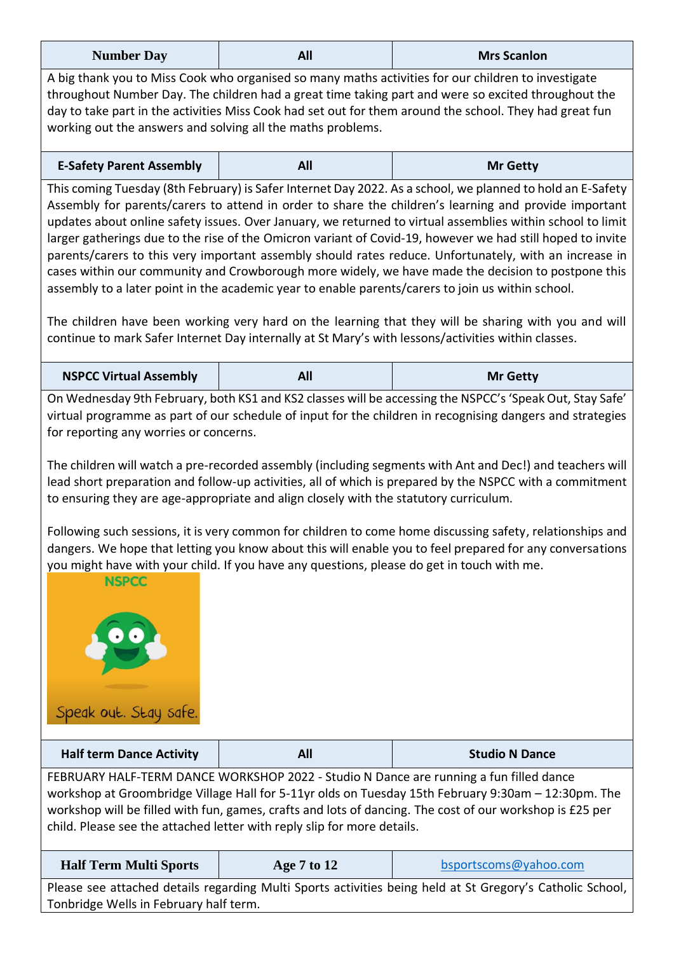| <b>Number Day</b> | All | <b>Mrs Scanlon</b> |
|-------------------|-----|--------------------|
|                   |     |                    |

A big thank you to Miss Cook who organised so many maths activities for our children to investigate throughout Number Day. The children had a great time taking part and were so excited throughout the day to take part in the activities Miss Cook had set out for them around the school. They had great fun working out the answers and solving all the maths problems.

| <b>E-Safety Parent Assembly</b> |  | <b>Mr Getty</b> |
|---------------------------------|--|-----------------|
|---------------------------------|--|-----------------|

This coming Tuesday (8th February) is Safer Internet Day 2022. As a school, we planned to hold an E-Safety Assembly for parents/carers to attend in order to share the children's learning and provide important updates about online safety issues. Over January, we returned to virtual assemblies within school to limit larger gatherings due to the rise of the Omicron variant of Covid-19, however we had still hoped to invite parents/carers to this very important assembly should rates reduce. Unfortunately, with an increase in cases within our community and Crowborough more widely, we have made the decision to postpone this assembly to a later point in the academic year to enable parents/carers to join us within school.

The children have been working very hard on the learning that they will be sharing with you and will continue to mark Safer Internet Day internally at St Mary's with lessons/activities within classes.

| <b>NSPCC Virtual Assembly</b> |  | <b>Mr Getty</b> |
|-------------------------------|--|-----------------|
|-------------------------------|--|-----------------|

On Wednesday 9th February, both KS1 and KS2 classes will be accessing the NSPCC's 'Speak Out, Stay Safe' virtual programme as part of our schedule of input for the children in recognising dangers and strategies for reporting any worries or concerns.

The children will watch a pre-recorded assembly (including segments with Ant and Dec!) and teachers will lead short preparation and follow-up activities, all of which is prepared by the NSPCC with a commitment to ensuring they are age-appropriate and align closely with the statutory curriculum.

Following such sessions, it is very common for children to come home discussing safety, relationships and dangers. We hope that letting you know about this will enable you to feel prepared for any conversations you might have with your child. If you have any questions, please do get in touch with me.



| <b>Half term Dance Activity</b>                                                        | All | <b>Studio N Dance</b>                                                                               |
|----------------------------------------------------------------------------------------|-----|-----------------------------------------------------------------------------------------------------|
| FEBRUARY HALF-TERM DANCE WORKSHOP 2022 - Studio N Dance are running a fun filled dance |     |                                                                                                     |
|                                                                                        |     | workshop at Groombridge Village Hall for 5-11yr olds on Tuesday 15th February 9:30am - 12:30pm. The |

workshop will be filled with fun, games, crafts and lots of dancing. The cost of our workshop is £25 per child. Please see the attached letter with reply slip for more details.

| <b>Half Term Multi Sports</b>                                                                             | Age 7 to 12 | bsportscoms@yahoo.com |
|-----------------------------------------------------------------------------------------------------------|-------------|-----------------------|
| Please see attached details regarding Multi Sports activities being held at St Gregory's Catholic School, |             |                       |
| Tonbridge Wells in February half term.                                                                    |             |                       |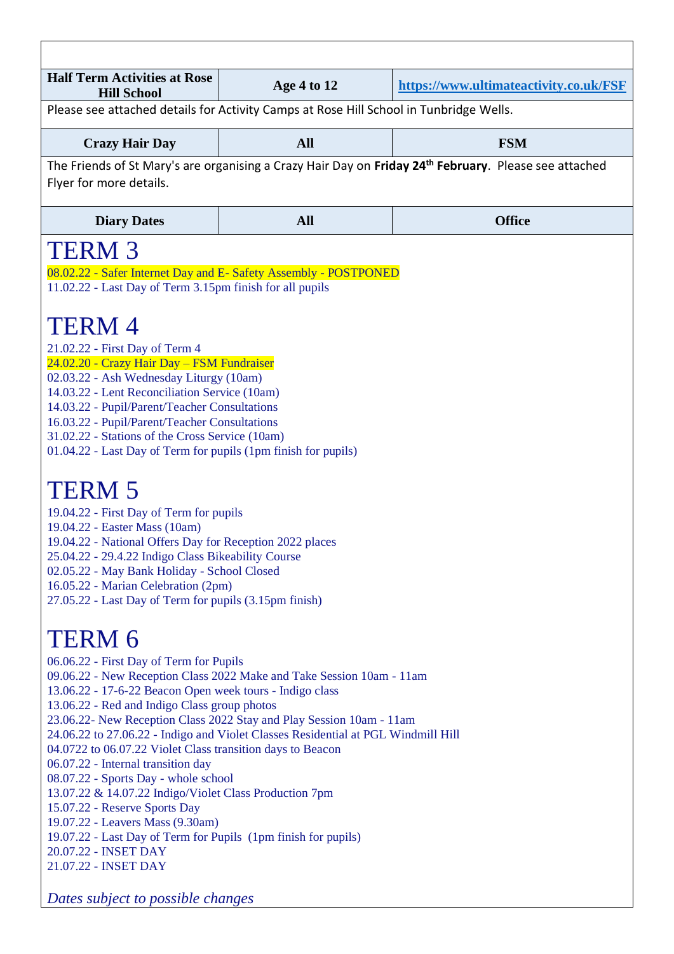| <b>Half Term Activities at Rose</b><br><b>Hill School</b>                                                                                                                                                                                                                                                                                                                                                                                                                                                                                                                                                                                                                                                                                                                                                                                                                                                                                                                                                                                                                                                                                                                                                                                                                                                                                                                                                                                                                                                                                                                                                                                                                                                                                                                                          | Age 4 to 12 | https://www.ultimateactivity.co.uk/FSF |
|----------------------------------------------------------------------------------------------------------------------------------------------------------------------------------------------------------------------------------------------------------------------------------------------------------------------------------------------------------------------------------------------------------------------------------------------------------------------------------------------------------------------------------------------------------------------------------------------------------------------------------------------------------------------------------------------------------------------------------------------------------------------------------------------------------------------------------------------------------------------------------------------------------------------------------------------------------------------------------------------------------------------------------------------------------------------------------------------------------------------------------------------------------------------------------------------------------------------------------------------------------------------------------------------------------------------------------------------------------------------------------------------------------------------------------------------------------------------------------------------------------------------------------------------------------------------------------------------------------------------------------------------------------------------------------------------------------------------------------------------------------------------------------------------------|-------------|----------------------------------------|
| Please see attached details for Activity Camps at Rose Hill School in Tunbridge Wells.                                                                                                                                                                                                                                                                                                                                                                                                                                                                                                                                                                                                                                                                                                                                                                                                                                                                                                                                                                                                                                                                                                                                                                                                                                                                                                                                                                                                                                                                                                                                                                                                                                                                                                             |             |                                        |
| <b>Crazy Hair Day</b>                                                                                                                                                                                                                                                                                                                                                                                                                                                                                                                                                                                                                                                                                                                                                                                                                                                                                                                                                                                                                                                                                                                                                                                                                                                                                                                                                                                                                                                                                                                                                                                                                                                                                                                                                                              | <b>All</b>  | <b>FSM</b>                             |
| Flyer for more details.                                                                                                                                                                                                                                                                                                                                                                                                                                                                                                                                                                                                                                                                                                                                                                                                                                                                                                                                                                                                                                                                                                                                                                                                                                                                                                                                                                                                                                                                                                                                                                                                                                                                                                                                                                            |             |                                        |
| <b>Diary Dates</b>                                                                                                                                                                                                                                                                                                                                                                                                                                                                                                                                                                                                                                                                                                                                                                                                                                                                                                                                                                                                                                                                                                                                                                                                                                                                                                                                                                                                                                                                                                                                                                                                                                                                                                                                                                                 | <b>All</b>  | <b>Office</b>                          |
| The Friends of St Mary's are organising a Crazy Hair Day on Friday 24 <sup>th</sup> February. Please see attached<br><b>TERM 3</b><br>08.02.22 - Safer Internet Day and E- Safety Assembly - POSTPONED<br>11.02.22 - Last Day of Term 3.15pm finish for all pupils<br>TERM 4<br>21.02.22 - First Day of Term 4<br>24.02.20 - Crazy Hair Day - FSM Fundraiser<br>02.03.22 - Ash Wednesday Liturgy (10am)<br>14.03.22 - Lent Reconciliation Service (10am)<br>14.03.22 - Pupil/Parent/Teacher Consultations<br>16.03.22 - Pupil/Parent/Teacher Consultations<br>31.02.22 - Stations of the Cross Service (10am)<br>01.04.22 - Last Day of Term for pupils (1pm finish for pupils)<br><b>TERM 5</b><br>19.04.22 - First Day of Term for pupils<br>19.04.22 - Easter Mass (10am)<br>19.04.22 - National Offers Day for Reception 2022 places<br>25.04.22 - 29.4.22 Indigo Class Bikeability Course<br>02.05.22 - May Bank Holiday - School Closed<br>16.05.22 - Marian Celebration (2pm)<br>27.05.22 - Last Day of Term for pupils (3.15pm finish)<br>TERM 6<br>06.06.22 - First Day of Term for Pupils<br>09.06.22 - New Reception Class 2022 Make and Take Session 10am - 11am<br>13.06.22 - 17-6-22 Beacon Open week tours - Indigo class<br>13.06.22 - Red and Indigo Class group photos<br>23.06.22- New Reception Class 2022 Stay and Play Session 10am - 11am<br>24.06.22 to 27.06.22 - Indigo and Violet Classes Residential at PGL Windmill Hill<br>04.0722 to 06.07.22 Violet Class transition days to Beacon<br>06.07.22 - Internal transition day<br>08.07.22 - Sports Day - whole school<br>13.07.22 & 14.07.22 Indigo/Violet Class Production 7pm<br>15.07.22 - Reserve Sports Day<br>19.07.22 - Leavers Mass (9.30am)<br>19.07.22 - Last Day of Term for Pupils (1pm finish for pupils) |             |                                        |
| Dates subject to possible changes                                                                                                                                                                                                                                                                                                                                                                                                                                                                                                                                                                                                                                                                                                                                                                                                                                                                                                                                                                                                                                                                                                                                                                                                                                                                                                                                                                                                                                                                                                                                                                                                                                                                                                                                                                  |             |                                        |

 $\overline{\phantom{a}}$